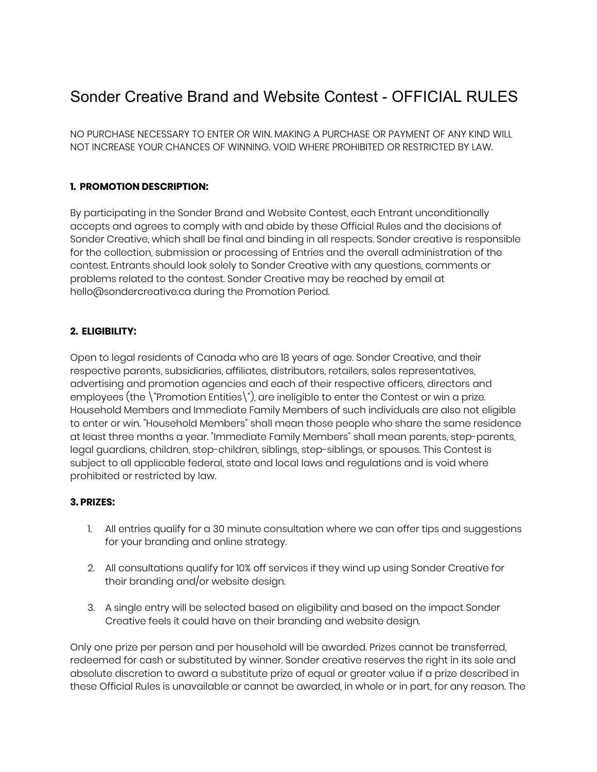# Sonder Creative Brand and Website Contest - OFFICIAL RULES

NO PURCHASE NECESSARY TO ENTER OR WIN. MAKING A PURCHASE OR PAYMENT OF ANY KIND WILL NOT INCREASE YOUR CHANCES OF WINNING. VOID WHERE PROHIBITED OR RESTRICTED BY LAW.

#### **1. PROMOTION DESCRIPTION:**

By participating in the Sonder Brand and Website Contest, each Entrant unconditionally accepts and agrees to comply with and abide by these Official Rules and the decisions of Sonder Creative, which shall be final and binding in all respects. Sonder creative is responsible for the collection, submission or processing of Entries and the overall administration of the contest. Entrants should look solely to Sonder Creative with any questions, comments or problems related to the contest. Sonder Creative may be reached by email at hello@sondercreative.ca during the Promotion Period.

#### **2. ELIGIBILITY:**

Open to legal residents of Canada who are 18 years of age. Sonder Creative, and their respective parents, subsidiaries, affiliates, distributors, retailers, sales representatives, advertising and promotion agencies and each of their respective officers, directors and employees (the \"Promotion Entities\"), are ineligible to enter the Contest or win a prize. Household Members and Immediate Family Members of such individuals are also not eligible to enter or win. "Household Members" shall mean those people who share the same residence at least three months a year. "Immediate Family Members" shall mean parents, step-parents, legal guardians, children, step-children, siblings, step-siblings, or spouses. This Contest is subject to all applicable federal, state and local laws and regulations and is void where prohibited or restricted by law.

#### **3. PRIZES:**

- 1. All entries qualify for a 30 minute consultation where we can offer tips and suggestions for your branding and online strategy.
- 2. All consultations qualify for 10% off services if they wind up using Sonder Creative for their branding and/or website design.
- 3. A single entry will be selected based on eligibility and based on the impact Sonder Creative feels it could have on their branding and website design.

Only one prize per person and per household will be awarded. Prizes cannot be transferred, redeemed for cash or substituted by winner. Sonder creative reserves the right in its sole and absolute discretion to award a substitute prize of equal or greater value if a prize described in these Official Rules is unavailable or cannot be awarded, in whole or in part, for any reason. The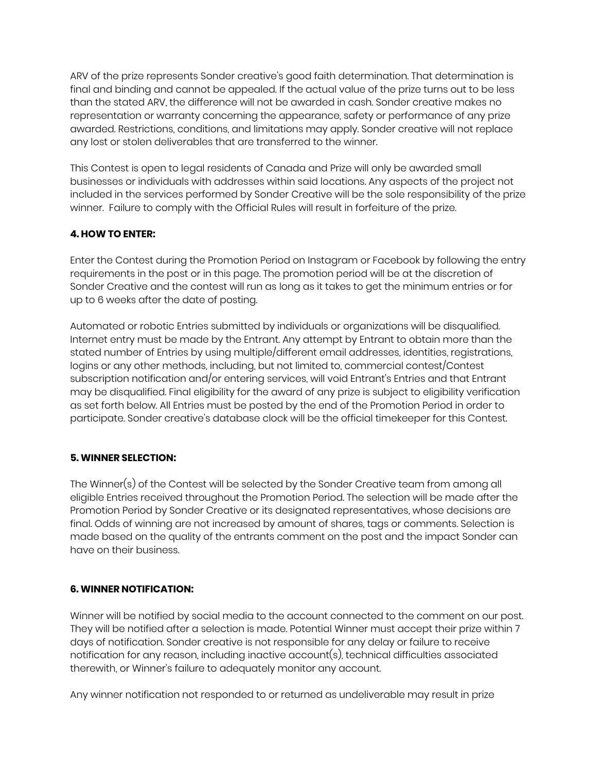ARV of the prize represents Sonder creative's good faith determination. That determination is final and binding and cannot be appealed. If the actual value of the prize turns out to be less than the stated ARV, the difference will not be awarded in cash. Sonder creative makes no representation or warranty concerning the appearance, safety or performance of any prize awarded. Restrictions, conditions, and limitations may apply. Sonder creative will not replace any lost or stolen deliverables that are transferred to the winner.

This Contest is open to legal residents of Canada and Prize will only be awarded small businesses or individuals with addresses within said locations. Any aspects of the project not included in the services performed by Sonder Creative will be the sole responsibility of the prize winner. Failure to comply with the Official Rules will result in forfeiture of the prize.

# **4. HOW TO ENTER:**

Enter the Contest during the Promotion Period on Instagram or Facebook by following the entry requirements in the post or in this page. The promotion period will be at the discretion of Sonder Creative and the contest will run as long as it takes to get the minimum entries or for up to 6 weeks after the date of posting.

Automated or robotic Entries submitted by individuals or organizations will be disqualified. Internet entry must be made by the Entrant. Any attempt by Entrant to obtain more than the stated number of Entries by using multiple/different email addresses, identities, registrations, logins or any other methods, including, but not limited to, commercial contest/Contest subscription notification and/or entering services, will void Entrant's Entries and that Entrant may be disqualified. Final eligibility for the award of any prize is subject to eligibility verification as set forth below. All Entries must be posted by the end of the Promotion Period in order to participate. Sonder creative's database clock will be the official timekeeper for this Contest.

### **5. WINNER SELECTION:**

The Winner(s) of the Contest will be selected by the Sonder Creative team from among all eligible Entries received throughout the Promotion Period. The selection will be made after the Promotion Period by Sonder Creative or its designated representatives, whose decisions are final. Odds of winning are not increased by amount of shares, tags or comments. Selection is made based on the quality of the entrants comment on the post and the impact Sonder can have on their business.

### **6. WINNER NOTIFICATION:**

Winner will be notified by social media to the account connected to the comment on our post. They will be notified after a selection is made. Potential Winner must accept their prize within 7 days of notification. Sonder creative is not responsible for any delay or failure to receive notification for any reason, including inactive account(s), technical difficulties associated therewith, or Winner's failure to adequately monitor any account.

Any winner notification not responded to or returned as undeliverable may result in prize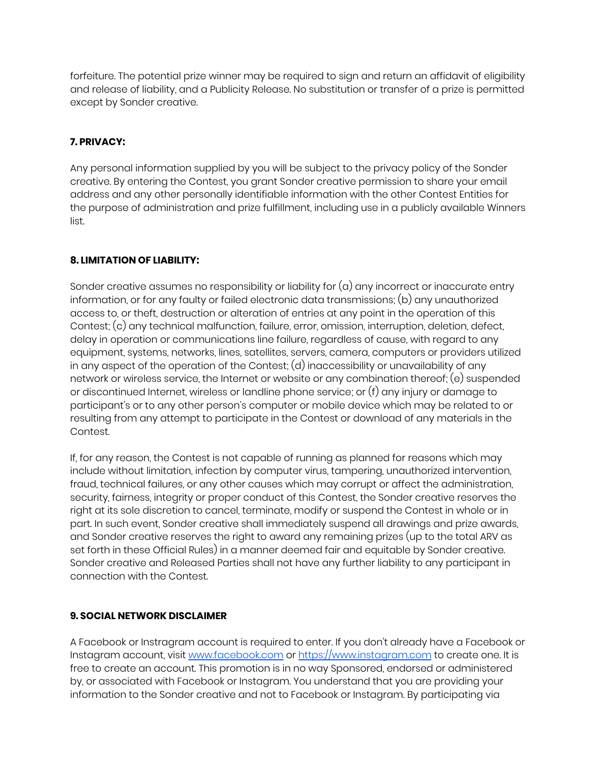forfeiture. The potential prize winner may be required to sign and return an affidavit of eligibility and release of liability, and a Publicity Release. No substitution or transfer of a prize is permitted except by Sonder creative.

## **7. PRIVACY:**

Any personal information supplied by you will be subject to the privacy policy of the Sonder creative. By entering the Contest, you grant Sonder creative permission to share your email address and any other personally identifiable information with the other Contest Entities for the purpose of administration and prize fulfillment, including use in a publicly available Winners list.

### **8. LIMITATION OF LIABILITY:**

Sonder creative assumes no responsibility or liability for  $(a)$  any incorrect or inaccurate entry information, or for any faulty or failed electronic data transmissions; (b) any unauthorized access to, or theft, destruction or alteration of entries at any point in the operation of this Contest; (c) any technical malfunction, failure, error, omission, interruption, deletion, defect, delay in operation or communications line failure, regardless of cause, with regard to any equipment, systems, networks, lines, satellites, servers, camera, computers or providers utilized in any aspect of the operation of the Contest; (d) inaccessibility or unavailability of any network or wireless service, the Internet or website or any combination thereof; (e) suspended or discontinued Internet, wireless or landline phone service; or (f) any injury or damage to participant's or to any other person's computer or mobile device which may be related to or resulting from any attempt to participate in the Contest or download of any materials in the Contest.

If, for any reason, the Contest is not capable of running as planned for reasons which may include without limitation, infection by computer virus, tampering, unauthorized intervention, fraud, technical failures, or any other causes which may corrupt or affect the administration, security, fairness, integrity or proper conduct of this Contest, the Sonder creative reserves the right at its sole discretion to cancel, terminate, modify or suspend the Contest in whole or in part. In such event, Sonder creative shall immediately suspend all drawings and prize awards, and Sonder creative reserves the right to award any remaining prizes (up to the total ARV as set forth in these Official Rules) in a manner deemed fair and equitable by Sonder creative. Sonder creative and Released Parties shall not have any further liability to any participant in connection with the Contest.

### **9. SOCIAL NETWORK DISCLAIMER**

A Facebook or Instragram account is required to enter. If you don't already have a Facebook or Instagram account, visit [www.facebook.com](http://www.facebook.com/) or [https://www.instagram.com](https://www.instagram.com/) to create one. It is free to create an account. This promotion is in no way Sponsored, endorsed or administered by, or associated with Facebook or Instagram. You understand that you are providing your information to the Sonder creative and not to Facebook or Instagram. By participating via